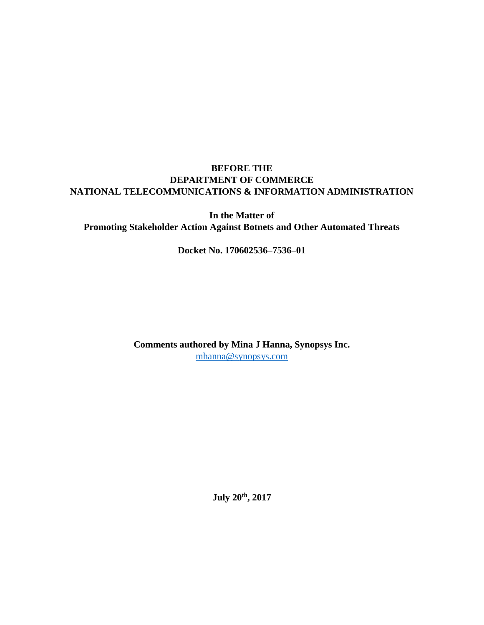# **BEFORE THE DEPARTMENT OF COMMERCE NATIONAL TELECOMMUNICATIONS & INFORMATION ADMINISTRATION**

**In the Matter of Promoting Stakeholder Action Against Botnets and Other Automated Threats**

**Docket No. 170602536–7536–01**

**Comments authored by Mina J Hanna, Synopsys Inc.** [mhanna@synopsys.com](mailto:mhanna@synopsys.com)

**July 20th, 2017**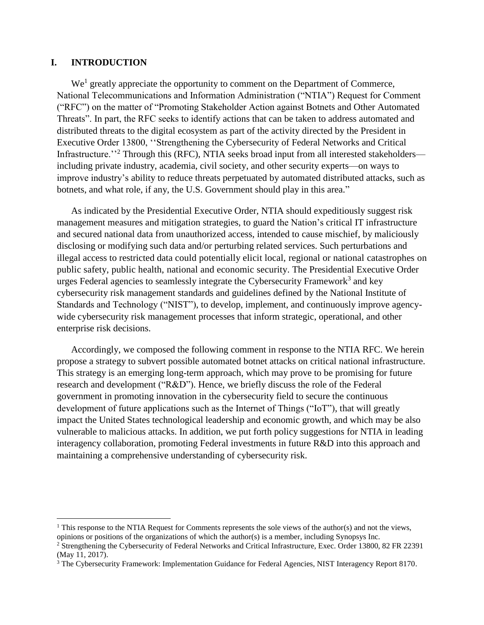## **I. INTRODUCTION**

l

We<sup>1</sup> greatly appreciate the opportunity to comment on the Department of Commerce, National Telecommunications and Information Administration ("NTIA") Request for Comment ("RFC") on the matter of "Promoting Stakeholder Action against Botnets and Other Automated Threats". In part, the RFC seeks to identify actions that can be taken to address automated and distributed threats to the digital ecosystem as part of the activity directed by the President in Executive Order 13800, ''Strengthening the Cybersecurity of Federal Networks and Critical Infrastructure.''<sup>2</sup> Through this (RFC), NTIA seeks broad input from all interested stakeholders including private industry, academia, civil society, and other security experts—on ways to improve industry's ability to reduce threats perpetuated by automated distributed attacks, such as botnets, and what role, if any, the U.S. Government should play in this area."

As indicated by the Presidential Executive Order, NTIA should expeditiously suggest risk management measures and mitigation strategies, to guard the Nation's critical IT infrastructure and secured national data from unauthorized access, intended to cause mischief, by maliciously disclosing or modifying such data and/or perturbing related services. Such perturbations and illegal access to restricted data could potentially elicit local, regional or national catastrophes on public safety, public health, national and economic security. The Presidential Executive Order urges Federal agencies to seamlessly integrate the Cybersecurity Framework<sup>3</sup> and key cybersecurity risk management standards and guidelines defined by the National Institute of Standards and Technology ("NIST"), to develop, implement, and continuously improve agencywide cybersecurity risk management processes that inform strategic, operational, and other enterprise risk decisions.

Accordingly, we composed the following comment in response to the NTIA RFC. We herein propose a strategy to subvert possible automated botnet attacks on critical national infrastructure. This strategy is an emerging long-term approach, which may prove to be promising for future research and development ("R&D"). Hence, we briefly discuss the role of the Federal government in promoting innovation in the cybersecurity field to secure the continuous development of future applications such as the Internet of Things ("IoT"), that will greatly impact the United States technological leadership and economic growth, and which may be also vulnerable to malicious attacks. In addition, we put forth policy suggestions for NTIA in leading interagency collaboration, promoting Federal investments in future R&D into this approach and maintaining a comprehensive understanding of cybersecurity risk.

<sup>&</sup>lt;sup>1</sup> This response to the NTIA Request for Comments represents the sole views of the author(s) and not the views, opinions or positions of the organizations of which the author(s) is a member, including Synopsys Inc.

<sup>&</sup>lt;sup>2</sup> Strengthening the Cybersecurity of Federal Networks and Critical Infrastructure, Exec. Order 13800, 82 FR 22391 (May 11, 2017).

<sup>3</sup> The Cybersecurity Framework: Implementation Guidance for Federal Agencies, NIST Interagency Report 8170.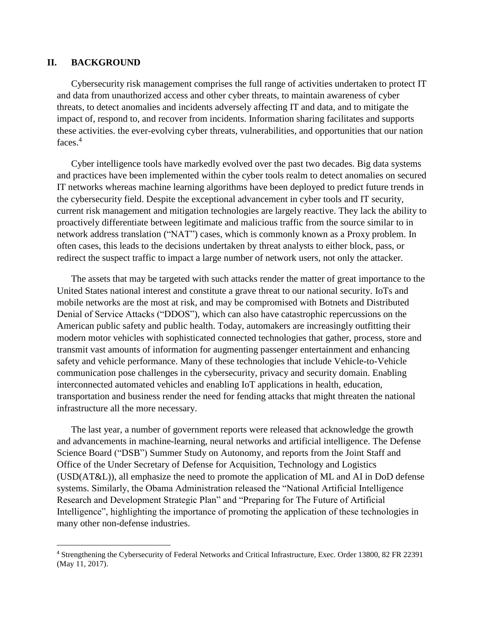#### **II. BACKGROUND**

l

Cybersecurity risk management comprises the full range of activities undertaken to protect IT and data from unauthorized access and other cyber threats, to maintain awareness of cyber threats, to detect anomalies and incidents adversely affecting IT and data, and to mitigate the impact of, respond to, and recover from incidents. Information sharing facilitates and supports these activities. the ever-evolving cyber threats, vulnerabilities, and opportunities that our nation faces.<sup>4</sup>

Cyber intelligence tools have markedly evolved over the past two decades. Big data systems and practices have been implemented within the cyber tools realm to detect anomalies on secured IT networks whereas machine learning algorithms have been deployed to predict future trends in the cybersecurity field. Despite the exceptional advancement in cyber tools and IT security, current risk management and mitigation technologies are largely reactive. They lack the ability to proactively differentiate between legitimate and malicious traffic from the source similar to in network address translation ("NAT") cases, which is commonly known as a Proxy problem. In often cases, this leads to the decisions undertaken by threat analysts to either block, pass, or redirect the suspect traffic to impact a large number of network users, not only the attacker.

The assets that may be targeted with such attacks render the matter of great importance to the United States national interest and constitute a grave threat to our national security. IoTs and mobile networks are the most at risk, and may be compromised with Botnets and Distributed Denial of Service Attacks ("DDOS"), which can also have catastrophic repercussions on the American public safety and public health. Today, automakers are increasingly outfitting their modern motor vehicles with sophisticated connected technologies that gather, process, store and transmit vast amounts of information for augmenting passenger entertainment and enhancing safety and vehicle performance. Many of these technologies that include Vehicle-to-Vehicle communication pose challenges in the cybersecurity, privacy and security domain. Enabling interconnected automated vehicles and enabling IoT applications in health, education, transportation and business render the need for fending attacks that might threaten the national infrastructure all the more necessary.

The last year, a number of government reports were released that acknowledge the growth and advancements in machine-learning, neural networks and artificial intelligence. The Defense Science Board ("DSB") Summer Study on Autonomy, and reports from the Joint Staff and Office of the Under Secretary of Defense for Acquisition, Technology and Logistics (USD(AT&L)), all emphasize the need to promote the application of ML and AI in DoD defense systems. Similarly, the Obama Administration released the "National Artificial Intelligence Research and Development Strategic Plan" and "Preparing for The Future of Artificial Intelligence", highlighting the importance of promoting the application of these technologies in many other non-defense industries.

<sup>4</sup> Strengthening the Cybersecurity of Federal Networks and Critical Infrastructure, Exec. Order 13800, 82 FR 22391 (May 11, 2017).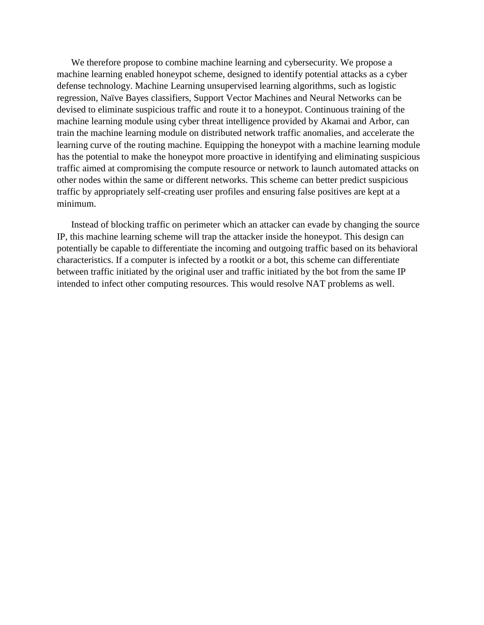We therefore propose to combine machine learning and cybersecurity. We propose a machine learning enabled honeypot scheme, designed to identify potential attacks as a cyber defense technology. Machine Learning unsupervised learning algorithms, such as logistic regression, Naïve Bayes classifiers, Support Vector Machines and Neural Networks can be devised to eliminate suspicious traffic and route it to a honeypot. Continuous training of the machine learning module using cyber threat intelligence provided by Akamai and Arbor, can train the machine learning module on distributed network traffic anomalies, and accelerate the learning curve of the routing machine. Equipping the honeypot with a machine learning module has the potential to make the honeypot more proactive in identifying and eliminating suspicious traffic aimed at compromising the compute resource or network to launch automated attacks on other nodes within the same or different networks. This scheme can better predict suspicious traffic by appropriately self-creating user profiles and ensuring false positives are kept at a minimum.

Instead of blocking traffic on perimeter which an attacker can evade by changing the source IP, this machine learning scheme will trap the attacker inside the honeypot. This design can potentially be capable to differentiate the incoming and outgoing traffic based on its behavioral characteristics. If a computer is infected by a rootkit or a bot, this scheme can differentiate between traffic initiated by the original user and traffic initiated by the bot from the same IP intended to infect other computing resources. This would resolve NAT problems as well.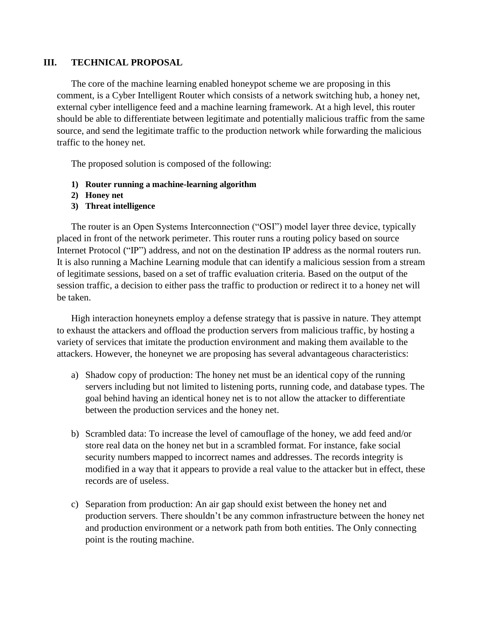## **III. TECHNICAL PROPOSAL**

The core of the machine learning enabled honeypot scheme we are proposing in this comment, is a Cyber Intelligent Router which consists of a network switching hub, a honey net, external cyber intelligence feed and a machine learning framework. At a high level, this router should be able to differentiate between legitimate and potentially malicious traffic from the same source, and send the legitimate traffic to the production network while forwarding the malicious traffic to the honey net.

The proposed solution is composed of the following:

- **1) Router running a machine-learning algorithm**
- **2) Honey net**
- **3) Threat intelligence**

The router is an Open Systems Interconnection ("OSI") model layer three device, typically placed in front of the network perimeter. This router runs a routing policy based on source Internet Protocol ("IP") address, and not on the destination IP address as the normal routers run. It is also running a Machine Learning module that can identify a malicious session from a stream of legitimate sessions, based on a set of traffic evaluation criteria. Based on the output of the session traffic, a decision to either pass the traffic to production or redirect it to a honey net will be taken.

High interaction honeynets employ a defense strategy that is passive in nature. They attempt to exhaust the attackers and offload the production servers from malicious traffic, by hosting a variety of services that imitate the production environment and making them available to the attackers. However, the honeynet we are proposing has several advantageous characteristics:

- a) Shadow copy of production: The honey net must be an identical copy of the running servers including but not limited to listening ports, running code, and database types. The goal behind having an identical honey net is to not allow the attacker to differentiate between the production services and the honey net.
- b) Scrambled data: To increase the level of camouflage of the honey, we add feed and/or store real data on the honey net but in a scrambled format. For instance, fake social security numbers mapped to incorrect names and addresses. The records integrity is modified in a way that it appears to provide a real value to the attacker but in effect, these records are of useless.
- c) Separation from production: An air gap should exist between the honey net and production servers. There shouldn't be any common infrastructure between the honey net and production environment or a network path from both entities. The Only connecting point is the routing machine.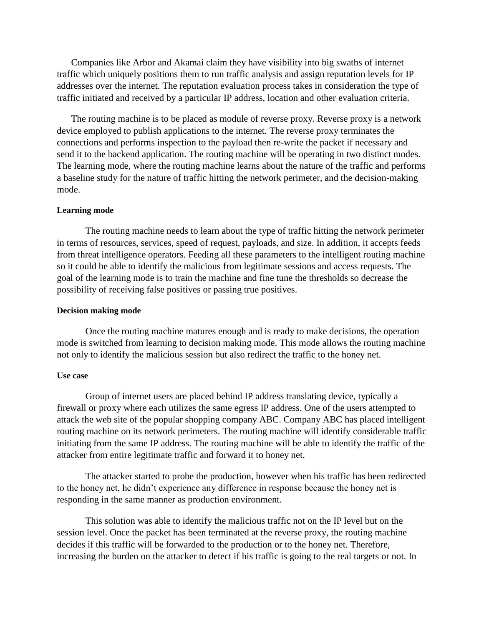Companies like Arbor and Akamai claim they have visibility into big swaths of internet traffic which uniquely positions them to run traffic analysis and assign reputation levels for IP addresses over the internet. The reputation evaluation process takes in consideration the type of traffic initiated and received by a particular IP address, location and other evaluation criteria.

The routing machine is to be placed as module of reverse proxy. Reverse proxy is a network device employed to publish applications to the internet. The reverse proxy terminates the connections and performs inspection to the payload then re-write the packet if necessary and send it to the backend application. The routing machine will be operating in two distinct modes. The learning mode, where the routing machine learns about the nature of the traffic and performs a baseline study for the nature of traffic hitting the network perimeter, and the decision-making mode.

#### **Learning mode**

The routing machine needs to learn about the type of traffic hitting the network perimeter in terms of resources, services, speed of request, payloads, and size. In addition, it accepts feeds from threat intelligence operators. Feeding all these parameters to the intelligent routing machine so it could be able to identify the malicious from legitimate sessions and access requests. The goal of the learning mode is to train the machine and fine tune the thresholds so decrease the possibility of receiving false positives or passing true positives.

#### **Decision making mode**

Once the routing machine matures enough and is ready to make decisions, the operation mode is switched from learning to decision making mode. This mode allows the routing machine not only to identify the malicious session but also redirect the traffic to the honey net.

#### **Use case**

Group of internet users are placed behind IP address translating device, typically a firewall or proxy where each utilizes the same egress IP address. One of the users attempted to attack the web site of the popular shopping company ABC. Company ABC has placed intelligent routing machine on its network perimeters. The routing machine will identify considerable traffic initiating from the same IP address. The routing machine will be able to identify the traffic of the attacker from entire legitimate traffic and forward it to honey net.

The attacker started to probe the production, however when his traffic has been redirected to the honey net, he didn't experience any difference in response because the honey net is responding in the same manner as production environment.

This solution was able to identify the malicious traffic not on the IP level but on the session level. Once the packet has been terminated at the reverse proxy, the routing machine decides if this traffic will be forwarded to the production or to the honey net. Therefore, increasing the burden on the attacker to detect if his traffic is going to the real targets or not. In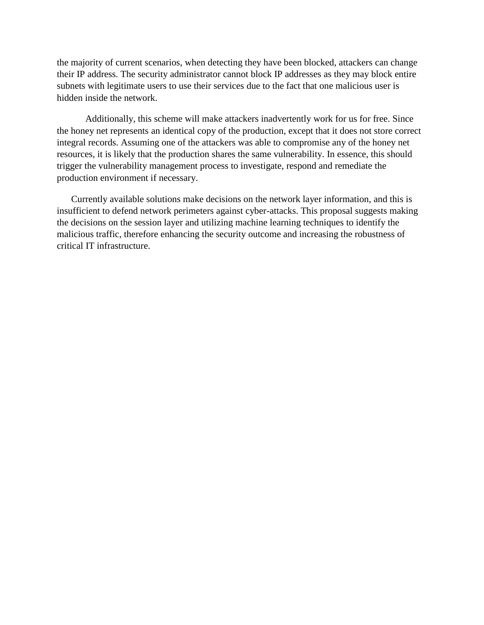the majority of current scenarios, when detecting they have been blocked, attackers can change their IP address. The security administrator cannot block IP addresses as they may block entire subnets with legitimate users to use their services due to the fact that one malicious user is hidden inside the network.

Additionally, this scheme will make attackers inadvertently work for us for free. Since the honey net represents an identical copy of the production, except that it does not store correct integral records. Assuming one of the attackers was able to compromise any of the honey net resources, it is likely that the production shares the same vulnerability. In essence, this should trigger the vulnerability management process to investigate, respond and remediate the production environment if necessary.

Currently available solutions make decisions on the network layer information, and this is insufficient to defend network perimeters against cyber-attacks. This proposal suggests making the decisions on the session layer and utilizing machine learning techniques to identify the malicious traffic, therefore enhancing the security outcome and increasing the robustness of critical IT infrastructure.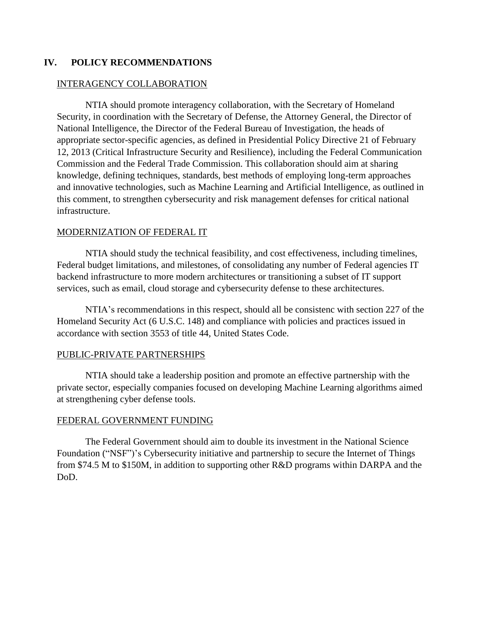# **IV. POLICY RECOMMENDATIONS**

#### INTERAGENCY COLLABORATION

NTIA should promote interagency collaboration, with the Secretary of Homeland Security, in coordination with the Secretary of Defense, the Attorney General, the Director of National Intelligence, the Director of the Federal Bureau of Investigation, the heads of appropriate sector-specific agencies, as defined in Presidential Policy Directive 21 of February 12, 2013 (Critical Infrastructure Security and Resilience), including the Federal Communication Commission and the Federal Trade Commission. This collaboration should aim at sharing knowledge, defining techniques, standards, best methods of employing long-term approaches and innovative technologies, such as Machine Learning and Artificial Intelligence, as outlined in this comment, to strengthen cybersecurity and risk management defenses for critical national infrastructure.

### MODERNIZATION OF FEDERAL IT

NTIA should study the technical feasibility, and cost effectiveness, including timelines, Federal budget limitations, and milestones, of consolidating any number of Federal agencies IT backend infrastructure to more modern architectures or transitioning a subset of IT support services, such as email, cloud storage and cybersecurity defense to these architectures.

NTIA's recommendations in this respect, should all be consistenc with section 227 of the Homeland Security Act (6 U.S.C. 148) and compliance with policies and practices issued in accordance with section 3553 of title 44, United States Code.

### PUBLIC-PRIVATE PARTNERSHIPS

NTIA should take a leadership position and promote an effective partnership with the private sector, especially companies focused on developing Machine Learning algorithms aimed at strengthening cyber defense tools.

### FEDERAL GOVERNMENT FUNDING

The Federal Government should aim to double its investment in the National Science Foundation ("NSF")'s Cybersecurity initiative and partnership to secure the Internet of Things from \$74.5 M to \$150M, in addition to supporting other R&D programs within DARPA and the DoD.